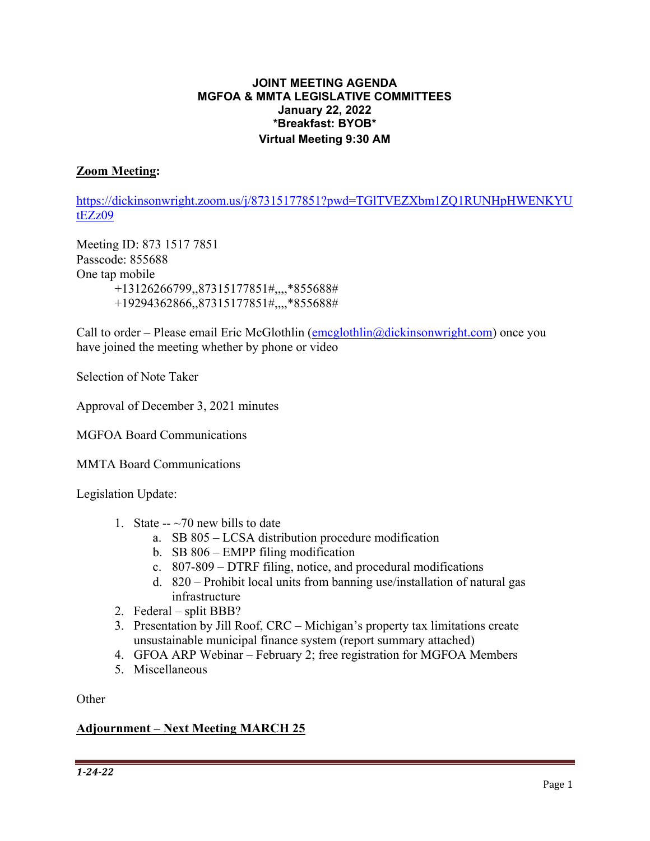#### **JOINT MEETING AGENDA MGFOA & MMTA LEGISLATIVE COMMITTEES January 22, 2022 \*Breakfast: BYOB\* Virtual Meeting 9:30 AM**

#### **Zoom Meeting:**

https://dickinsonwright.zoom.us/j/87315177851?pwd=TGlTVEZXbm1ZQ1RUNHpHWENKYU tEZz09

Meeting ID: 873 1517 7851 Passcode: 855688 One tap mobile +13126266799,,87315177851#,,,,\*855688# +19294362866,,87315177851#,,,,\*855688#

Call to order – Please email Eric McGlothlin  $(emoglobin)$  (and  $\alpha$ ) once you have joined the meeting whether by phone or video

Selection of Note Taker

Approval of December 3, 2021 minutes

MGFOA Board Communications

MMTA Board Communications

Legislation Update:

- 1. State  $-270$  new bills to date
	- a. SB 805 LCSA distribution procedure modification
	- b. SB 806 EMPP filing modification
	- c. 807-809 DTRF filing, notice, and procedural modifications
	- d. 820 Prohibit local units from banning use/installation of natural gas infrastructure
- 2. Federal split BBB?
- 3. Presentation by Jill Roof, CRC Michigan's property tax limitations create unsustainable municipal finance system (report summary attached)
- 4. GFOA ARP Webinar February 2; free registration for MGFOA Members
- 5. Miscellaneous

**Other** 

#### **Adjournment – Next Meeting MARCH 25**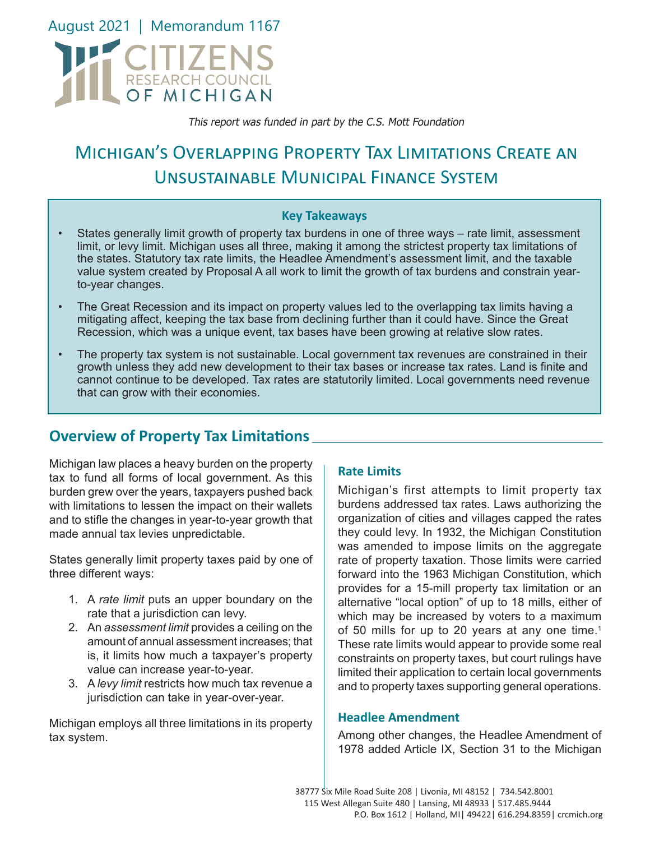

This report was funded in part by the C.S. Mott Foundation

# Michigan's Overlapping Property Tax Limitations Create an Unsustainable Municipal Finance System

#### **Key Takeaways**

- States generally limit growth of property tax burdens in one of three ways rate limit, assessment limit, or levy limit. Michigan uses all three, making it among the strictest property tax limitations of the states. Statutory tax rate limits, the Headlee Amendment's assessment limit, and the taxable value system created by Proposal A all work to limit the growth of tax burdens and constrain yearto-year changes.
- The Great Recession and its impact on property values led to the overlapping tax limits having a mitigating affect, keeping the tax base from declining further than it could have. Since the Great Recession, which was a unique event, tax bases have been growing at relative slow rates.
- The property tax system is not sustainable. Local government tax revenues are constrained in their growth unless they add new development to their tax bases or increase tax rates. Land is finite and cannot continue to be developed. Tax rates are statutorily limited. Local governments need revenue that can grow with their economies.

## **Overview of Property Tax Limitations**

Michigan law places a heavy burden on the property tax to fund all forms of local government. As this burden grew over the years, taxpayers pushed back with limitations to lessen the impact on their wallets and to stifle the changes in year-to-year growth that made annual tax levies unpredictable.

States generally limit property taxes paid by one of three different ways:

- 1. A *rate limit* puts an upper boundary on the rate that a jurisdiction can levy.
- 2. An *assessment limit* provides a ceiling on the amount of annual assessment increases; that is, it limits how much a taxpayer's property value can increase year-to-year.
- 3. A *levy limit* restricts how much tax revenue a jurisdiction can take in year-over-year.

Michigan employs all three limitations in its property tax system.

#### **Rate Limits**

Michigan's first attempts to limit property tax burdens addressed tax rates. Laws authorizing the organization of cities and villages capped the rates they could levy. In 1932, the Michigan Constitution was amended to impose limits on the aggregate rate of property taxation. Those limits were carried forward into the 1963 Michigan Constitution, which provides for a 15-mill property tax limitation or an alternative "local option" of up to 18 mills, either of which may be increased by voters to a maximum of 50 mills for up to 20 years at any one time.<sup>1</sup> These rate limits would appear to provide some real constraints on property taxes, but court rulings have limited their application to certain local governments and to property taxes supporting general operations.

#### **Headlee Amendment**

Among other changes, the Headlee Amendment of 1978 added Article IX, Section 31 to the Michigan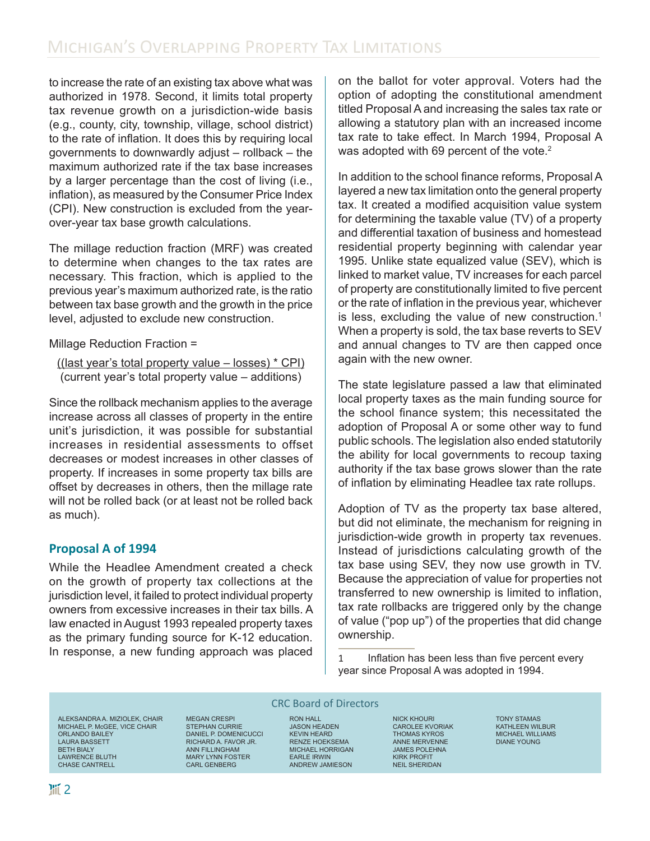to increase the rate of an existing tax above what was authorized in 1978. Second, it limits total property tax revenue growth on a jurisdiction-wide basis (e.g., county, city, township, village, school district) to the rate of inflation. It does this by requiring local governments to downwardly adjust – rollback – the maximum authorized rate if the tax base increases by a larger percentage than the cost of living (i.e., inflation), as measured by the Consumer Price Index (CPI). New construction is excluded from the yearover-year tax base growth calculations.

The millage reduction fraction (MRF) was created to determine when changes to the tax rates are necessary. This fraction, which is applied to the previous year's maximum authorized rate, is the ratio between tax base growth and the growth in the price level, adjusted to exclude new construction.

Millage Reduction Fraction =

```
((last year's total property value - losses) * CPI)
(current year's total property value – additions)
```
Since the rollback mechanism applies to the average increase across all classes of property in the entire unit's jurisdiction, it was possible for substantial increases in residential assessments to offset decreases or modest increases in other classes of property. If increases in some property tax bills are offset by decreases in others, then the millage rate will not be rolled back (or at least not be rolled back as much).

## **Proposal A of 1994**

While the Headlee Amendment created a check on the growth of property tax collections at the jurisdiction level, it failed to protect individual property owners from excessive increases in their tax bills. A law enacted in August 1993 repealed property taxes as the primary funding source for K-12 education. In response, a new funding approach was placed

on the ballot for voter approval. Voters had the option of adopting the constitutional amendment titled Proposal A and increasing the sales tax rate or allowing a statutory plan with an increased income tax rate to take effect. In March 1994, Proposal A was adopted with 69 percent of the vote.<sup>2</sup>

In addition to the school finance reforms, Proposal A layered a new tax limitation onto the general property tax. It created a modified acquisition value system for determining the taxable value (TV) of a property and differential taxation of business and homestead residential property beginning with calendar year 1995. Unlike state equalized value (SEV), which is linked to market value, TV increases for each parcel of property are constitutionally limited to five percent or the rate of inflation in the previous year, whichever is less, excluding the value of new construction.<sup>1</sup> When a property is sold, the tax base reverts to SEV and annual changes to TV are then capped once again with the new owner.

The state legislature passed a law that eliminated local property taxes as the main funding source for the school finance system; this necessitated the adoption of Proposal A or some other way to fund public schools. The legislation also ended statutorily the ability for local governments to recoup taxing authority if the tax base grows slower than the rate of inflation by eliminating Headlee tax rate rollups.

Adoption of TV as the property tax base altered, but did not eliminate, the mechanism for reigning in jurisdiction-wide growth in property tax revenues. Instead of jurisdictions calculating growth of the tax base using SEV, they now use growth in TV. Because the appreciation of value for properties not transferred to new ownership is limited to inflation, tax rate rollbacks are triggered only by the change of value ("pop up") of the properties that did change ownership.

1 Inflation has been less than five percent every year since Proposal A was adopted in 1994.

ALEKSANDRA A. MIZIOLEK, CHAIR MICHAEL P. McGEE, VICE CHAIR ORLANDO BAILEY LAURA BASSETT BETH BIALY LAWRENCE BLUTH CHASE CANTRELL

MEGAN CRESPI STEPHAN CURRIE DANIEL P. DOMENICUCCI RICHARD A. FAVOR JR. ANN FILLINGHAM MARY LYNN FOSTER CARL GENBERG

#### CRC Board of Directors

RON HALL JASON HEADEN KEVIN HEARD RENZE HOEKSEMA MICHAEL HORRIGAN EARLE IRWIN ANDREW JAMIESON

NICK KHOURI CAROLEE KVORIAK THOMAS KYROS ANNE MERVENNE JAMES POLEHNA KIRK PROFIT NEIL SHERIDAN

TONY STAMAS KATHLEEN WILBUR MICHAEL WILLIAMS DIANE YOUNG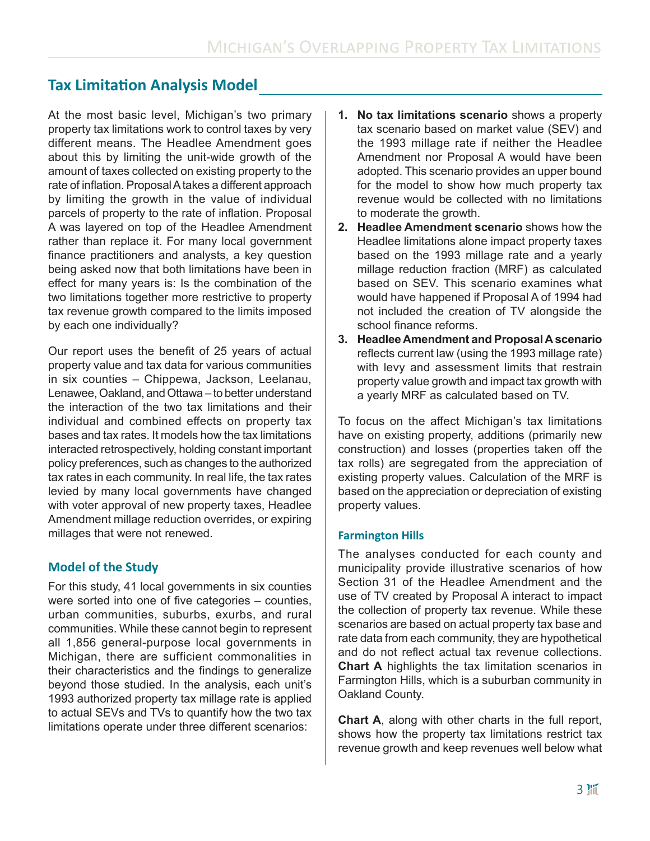## **Tax Limitation Analysis Model**

At the most basic level, Michigan's two primary property tax limitations work to control taxes by very different means. The Headlee Amendment goes about this by limiting the unit-wide growth of the amount of taxes collected on existing property to the rate of inflation. Proposal A takes a different approach by limiting the growth in the value of individual parcels of property to the rate of inflation. Proposal A was layered on top of the Headlee Amendment rather than replace it. For many local government finance practitioners and analysts, a key question being asked now that both limitations have been in effect for many years is: Is the combination of the two limitations together more restrictive to property tax revenue growth compared to the limits imposed by each one individually?

Our report uses the benefit of 25 years of actual property value and tax data for various communities in six counties – Chippewa, Jackson, Leelanau, Lenawee, Oakland, and Ottawa – to better understand the interaction of the two tax limitations and their individual and combined effects on property tax bases and tax rates. It models how the tax limitations interacted retrospectively, holding constant important policy preferences, such as changes to the authorized tax rates in each community. In real life, the tax rates levied by many local governments have changed with voter approval of new property taxes, Headlee Amendment millage reduction overrides, or expiring millages that were not renewed.

### **Model of the Study**

For this study, 41 local governments in six counties were sorted into one of five categories – counties, urban communities, suburbs, exurbs, and rural communities. While these cannot begin to represent all 1,856 general-purpose local governments in Michigan, there are sufficient commonalities in their characteristics and the findings to generalize beyond those studied. In the analysis, each unit's 1993 authorized property tax millage rate is applied to actual SEVs and TVs to quantify how the two tax limitations operate under three different scenarios:

- **1. No tax limitations scenario** shows a property tax scenario based on market value (SEV) and the 1993 millage rate if neither the Headlee Amendment nor Proposal A would have been adopted. This scenario provides an upper bound for the model to show how much property tax revenue would be collected with no limitations to moderate the growth.
- **2. Headlee Amendment scenario** shows how the Headlee limitations alone impact property taxes based on the 1993 millage rate and a yearly millage reduction fraction (MRF) as calculated based on SEV. This scenario examines what would have happened if Proposal A of 1994 had not included the creation of TV alongside the school finance reforms.
- **3. Headlee Amendment and Proposal A scenario**  reflects current law (using the 1993 millage rate) with levy and assessment limits that restrain property value growth and impact tax growth with a yearly MRF as calculated based on TV.

To focus on the affect Michigan's tax limitations have on existing property, additions (primarily new construction) and losses (properties taken off the tax rolls) are segregated from the appreciation of existing property values. Calculation of the MRF is based on the appreciation or depreciation of existing property values.

#### **Farmington Hills**

The analyses conducted for each county and municipality provide illustrative scenarios of how Section 31 of the Headlee Amendment and the use of TV created by Proposal A interact to impact the collection of property tax revenue. While these scenarios are based on actual property tax base and rate data from each community, they are hypothetical and do not reflect actual tax revenue collections. **Chart A** highlights the tax limitation scenarios in Farmington Hills, which is a suburban community in Oakland County.

**Chart A**, along with other charts in the full report, shows how the property tax limitations restrict tax revenue growth and keep revenues well below what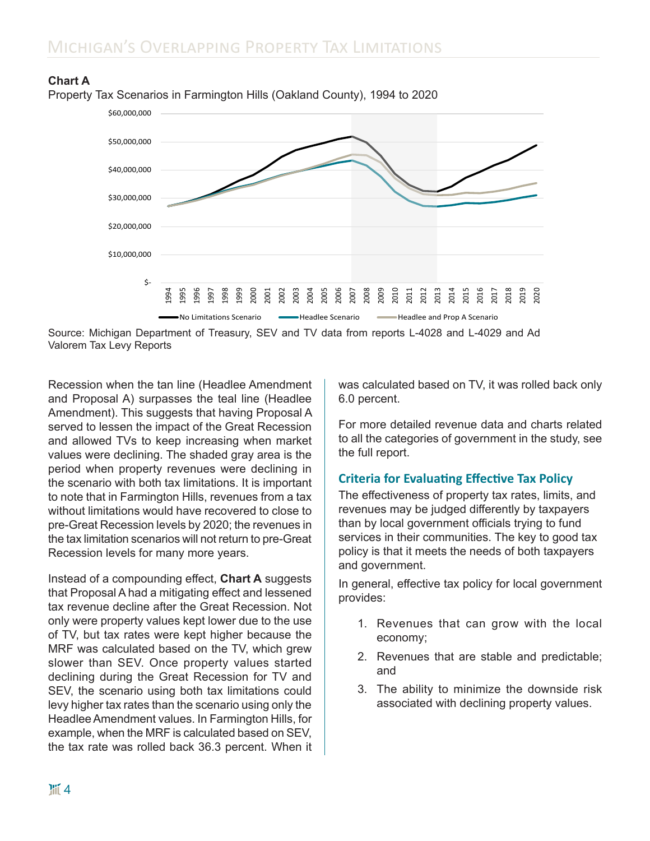

#### **Chart A**

Property Tax Scenarios in Farmington Hills (Oakland County), 1994 to 2020

Source: Michigan Department of Treasury, SEV and TV data from reports L-4028 and L-4029 and Ad Valorem Tax Levy Reports

Recession when the tan line (Headlee Amendment and Proposal A) surpasses the teal line (Headlee Amendment). This suggests that having Proposal A served to lessen the impact of the Great Recession and allowed TVs to keep increasing when market values were declining. The shaded gray area is the period when property revenues were declining in the scenario with both tax limitations. It is important to note that in Farmington Hills, revenues from a tax without limitations would have recovered to close to pre-Great Recession levels by 2020; the revenues in the tax limitation scenarios will not return to pre-Great Recession levels for many more years.

Instead of a compounding effect, **Chart A** suggests that Proposal A had a mitigating effect and lessened tax revenue decline after the Great Recession. Not only were property values kept lower due to the use of TV, but tax rates were kept higher because the MRF was calculated based on the TV, which grew slower than SEV. Once property values started declining during the Great Recession for TV and SEV, the scenario using both tax limitations could levy higher tax rates than the scenario using only the Headlee Amendment values. In Farmington Hills, for example, when the MRF is calculated based on SEV, the tax rate was rolled back 36.3 percent. When it was calculated based on TV, it was rolled back only 6.0 percent.

For more detailed revenue data and charts related to all the categories of government in the study, see the full report.

#### **Criteria for Evaluating Effective Tax Policy**

The effectiveness of property tax rates, limits, and revenues may be judged differently by taxpayers than by local government officials trying to fund services in their communities. The key to good tax policy is that it meets the needs of both taxpayers and government.

In general, effective tax policy for local government provides:

- 1. Revenues that can grow with the local economy;
- 2. Revenues that are stable and predictable; and
- 3. The ability to minimize the downside risk associated with declining property values.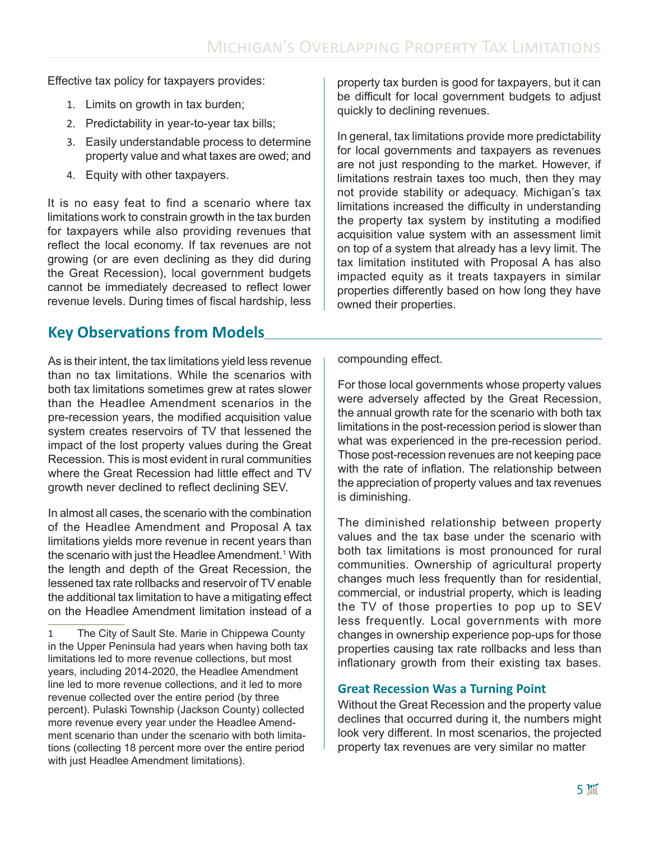Effective tax policy for taxpayers provides:

- 1. Limits on growth in tax burden;
- 2. Predictability in year-to-year tax bills;
- 3. Easily understandable process to determine property value and what taxes are owed; and
- 4. Equity with other taxpayers.

It is no easy feat to find a scenario where tax limitations work to constrain growth in the tax burden for taxpayers while also providing revenues that reflect the local economy. If tax revenues are not growing (or are even declining as they did during the Great Recession), local government budgets cannot be immediately decreased to reflect lower revenue levels. During times of fiscal hardship, less

## **Key Observations from Models**

As is their intent, the tax limitations yield less revenue than no tax limitations. While the scenarios with both tax limitations sometimes grew at rates slower than the Headlee Amendment scenarios in the pre-recession years, the modified acquisition value system creates reservoirs of TV that lessened the impact of the lost property values during the Great Recession. This is most evident in rural communities where the Great Recession had little effect and TV growth never declined to reflect declining SEV.

In almost all cases, the scenario with the combination of the Headlee Amendment and Proposal A tax limitations yields more revenue in recent years than the scenario with just the Headlee Amendment.1 With the length and depth of the Great Recession, the lessened tax rate rollbacks and reservoir of TV enable the additional tax limitation to have a mitigating effect on the Headlee Amendment limitation instead of a

property tax burden is good for taxpayers, but it can be difficult for local government budgets to adjust quickly to declining revenues.

In general, tax limitations provide more predictability for local governments and taxpayers as revenues are not just responding to the market. However, if limitations restrain taxes too much, then they may not provide stability or adequacy. Michigan's tax limitations increased the difficulty in understanding the property tax system by instituting a modified acquisition value system with an assessment limit on top of a system that already has a levy limit. The tax limitation instituted with Proposal A has also impacted equity as it treats taxpayers in similar properties differently based on how long they have owned their properties.

compounding effect.

For those local governments whose property values were adversely affected by the Great Recession, the annual growth rate for the scenario with both tax limitations in the post-recession period is slower than what was experienced in the pre-recession period. Those post-recession revenues are not keeping pace with the rate of inflation. The relationship between the appreciation of property values and tax revenues is diminishing.

The diminished relationship between property values and the tax base under the scenario with both tax limitations is most pronounced for rural communities. Ownership of agricultural property changes much less frequently than for residential, commercial, or industrial property, which is leading the TV of those properties to pop up to SEV less frequently. Local governments with more changes in ownership experience pop-ups for those properties causing tax rate rollbacks and less than inflationary growth from their existing tax bases.

#### **Great Recession Was a Turning Point**

Without the Great Recession and the property value declines that occurred during it, the numbers might look very different. In most scenarios, the projected property tax revenues are very similar no matter

<sup>1</sup>  The City of Sault Ste. Marie in Chippewa County in the Upper Peninsula had years when having both tax limitations led to more revenue collections, but most years, including 2014-2020, the Headlee Amendment line led to more revenue collections, and it led to more revenue collected over the entire period (by three percent). Pulaski Township (Jackson County) collected more revenue every year under the Headlee Amendment scenario than under the scenario with both limitations (collecting 18 percent more over the entire period with just Headlee Amendment limitations).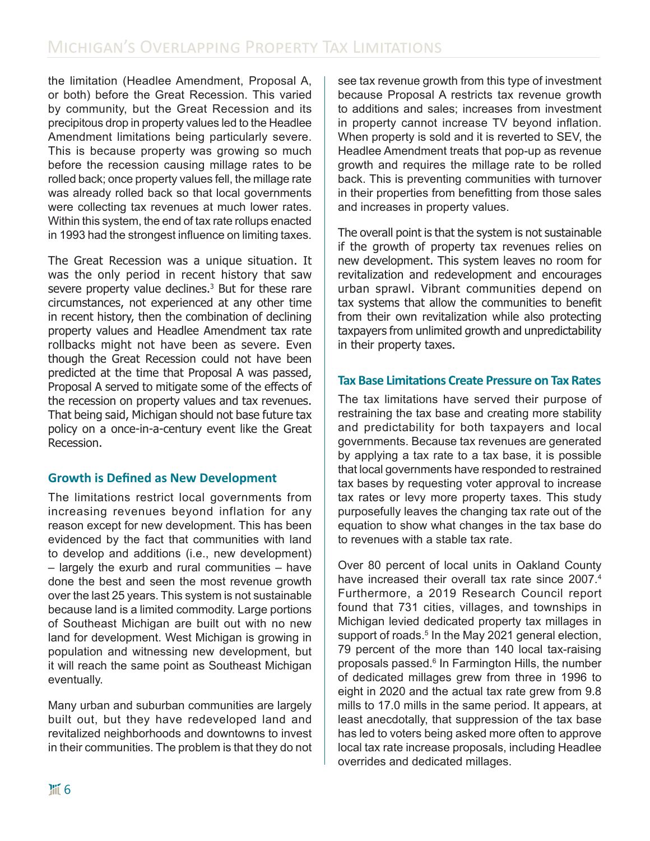the limitation (Headlee Amendment, Proposal A, or both) before the Great Recession. This varied by community, but the Great Recession and its precipitous drop in property values led to the Headlee Amendment limitations being particularly severe. This is because property was growing so much before the recession causing millage rates to be rolled back; once property values fell, the millage rate was already rolled back so that local governments were collecting tax revenues at much lower rates. Within this system, the end of tax rate rollups enacted in 1993 had the strongest influence on limiting taxes.

The Great Recession was a unique situation. It was the only period in recent history that saw severe property value declines.3 But for these rare circumstances, not experienced at any other time in recent history, then the combination of declining property values and Headlee Amendment tax rate rollbacks might not have been as severe. Even though the Great Recession could not have been predicted at the time that Proposal A was passed, Proposal A served to mitigate some of the effects of the recession on property values and tax revenues. That being said, Michigan should not base future tax policy on a once-in-a-century event like the Great Recession.

### **Growth is Defined as New Development**

The limitations restrict local governments from increasing revenues beyond inflation for any reason except for new development. This has been evidenced by the fact that communities with land to develop and additions (i.e., new development) – largely the exurb and rural communities – have done the best and seen the most revenue growth over the last 25 years. This system is not sustainable because land is a limited commodity. Large portions of Southeast Michigan are built out with no new land for development. West Michigan is growing in population and witnessing new development, but it will reach the same point as Southeast Michigan eventually.

Many urban and suburban communities are largely built out, but they have redeveloped land and revitalized neighborhoods and downtowns to invest in their communities. The problem is that they do not

see tax revenue growth from this type of investment because Proposal A restricts tax revenue growth to additions and sales; increases from investment in property cannot increase TV beyond inflation. When property is sold and it is reverted to SEV, the Headlee Amendment treats that pop-up as revenue growth and requires the millage rate to be rolled back. This is preventing communities with turnover in their properties from benefitting from those sales and increases in property values.

The overall point is that the system is not sustainable if the growth of property tax revenues relies on new development. This system leaves no room for revitalization and redevelopment and encourages urban sprawl. Vibrant communities depend on tax systems that allow the communities to benefit from their own revitalization while also protecting taxpayers from unlimited growth and unpredictability in their property taxes.

### **Tax Base Limitations Create Pressure on Tax Rates**

The tax limitations have served their purpose of restraining the tax base and creating more stability and predictability for both taxpayers and local governments. Because tax revenues are generated by applying a tax rate to a tax base, it is possible that local governments have responded to restrained tax bases by requesting voter approval to increase tax rates or levy more property taxes. This study purposefully leaves the changing tax rate out of the equation to show what changes in the tax base do to revenues with a stable tax rate.

Over 80 percent of local units in Oakland County have increased their overall tax rate since 2007.4 Furthermore, a 2019 Research Council report found that 731 cities, villages, and townships in Michigan levied dedicated property tax millages in support of roads.<sup>5</sup> In the May 2021 general election, 79 percent of the more than 140 local tax-raising proposals passed. $^6$  In Farmington Hills, the number of dedicated millages grew from three in 1996 to eight in 2020 and the actual tax rate grew from 9.8 mills to 17.0 mills in the same period. It appears, at least anecdotally, that suppression of the tax base has led to voters being asked more often to approve local tax rate increase proposals, including Headlee overrides and dedicated millages.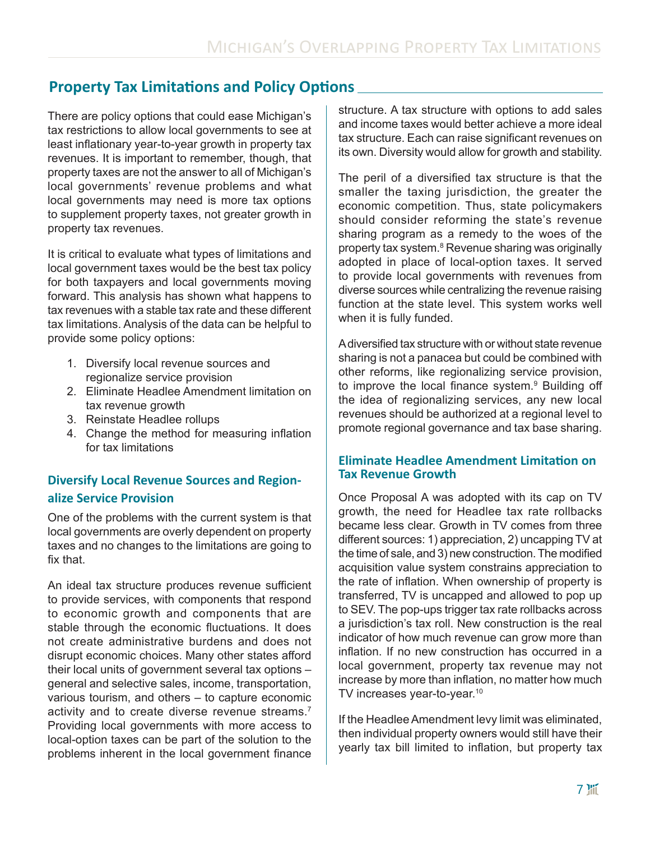## **Property Tax Limitations and Policy Options**

There are policy options that could ease Michigan's tax restrictions to allow local governments to see at least inflationary year-to-year growth in property tax revenues. It is important to remember, though, that property taxes are not the answer to all of Michigan's local governments' revenue problems and what local governments may need is more tax options to supplement property taxes, not greater growth in property tax revenues.

It is critical to evaluate what types of limitations and local government taxes would be the best tax policy for both taxpayers and local governments moving forward. This analysis has shown what happens to tax revenues with a stable tax rate and these different tax limitations. Analysis of the data can be helpful to provide some policy options:

- 1. Diversify local revenue sources and regionalize service provision
- 2. Eliminate Headlee Amendment limitation on tax revenue growth
- 3. Reinstate Headlee rollups
- 4. Change the method for measuring inflation for tax limitations

## **Diversify Local Revenue Sources and Regionalize Service Provision**

One of the problems with the current system is that local governments are overly dependent on property taxes and no changes to the limitations are going to fix that.

An ideal tax structure produces revenue sufficient to provide services, with components that respond to economic growth and components that are stable through the economic fluctuations. It does not create administrative burdens and does not disrupt economic choices. Many other states afford their local units of government several tax options – general and selective sales, income, transportation, various tourism, and others – to capture economic activity and to create diverse revenue streams.<sup>7</sup> Providing local governments with more access to local-option taxes can be part of the solution to the problems inherent in the local government finance

structure. A tax structure with options to add sales and income taxes would better achieve a more ideal tax structure. Each can raise significant revenues on its own. Diversity would allow for growth and stability.

The peril of a diversified tax structure is that the smaller the taxing jurisdiction, the greater the economic competition. Thus, state policymakers should consider reforming the state's revenue sharing program as a remedy to the woes of the property tax system.<sup>8</sup> Revenue sharing was originally adopted in place of local-option taxes. It served to provide local governments with revenues from diverse sources while centralizing the revenue raising function at the state level. This system works well when it is fully funded.

A diversified tax structure with or without state revenue sharing is not a panacea but could be combined with other reforms, like regionalizing service provision, to improve the local finance system.<sup>9</sup> Building off the idea of regionalizing services, any new local revenues should be authorized at a regional level to promote regional governance and tax base sharing.

#### **Eliminate Headlee Amendment Limitation on Tax Revenue Growth**

Once Proposal A was adopted with its cap on TV growth, the need for Headlee tax rate rollbacks became less clear. Growth in TV comes from three different sources: 1) appreciation, 2) uncapping TV at the time of sale, and 3) new construction. The modified acquisition value system constrains appreciation to the rate of inflation. When ownership of property is transferred, TV is uncapped and allowed to pop up to SEV. The pop-ups trigger tax rate rollbacks across a jurisdiction's tax roll. New construction is the real indicator of how much revenue can grow more than inflation. If no new construction has occurred in a local government, property tax revenue may not increase by more than inflation, no matter how much TV increases year-to-year.<sup>10</sup>

If the Headlee Amendment levy limit was eliminated, then individual property owners would still have their yearly tax bill limited to inflation, but property tax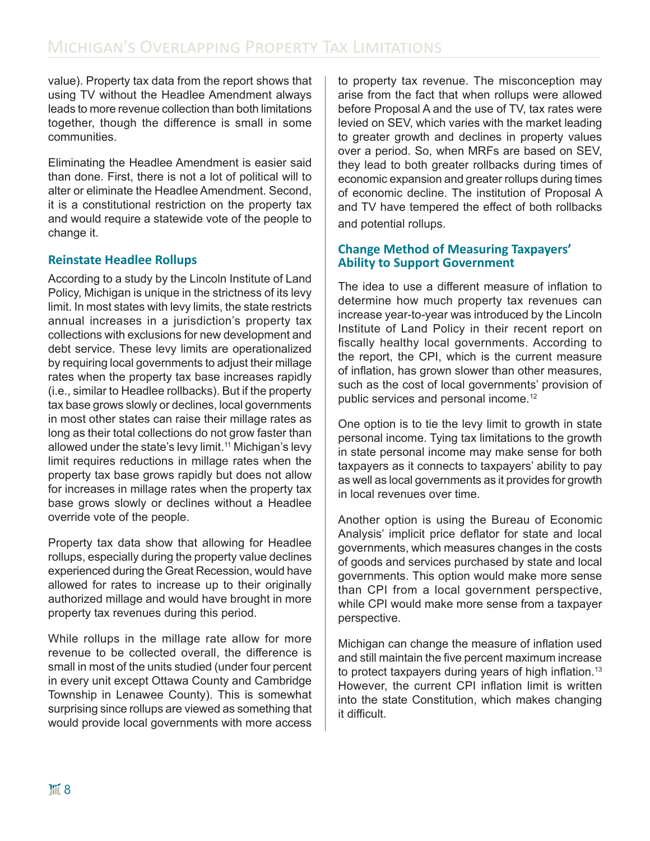value). Property tax data from the report shows that using TV without the Headlee Amendment always leads to more revenue collection than both limitations together, though the difference is small in some communities.

Eliminating the Headlee Amendment is easier said than done. First, there is not a lot of political will to alter or eliminate the Headlee Amendment. Second, it is a constitutional restriction on the property tax and would require a statewide vote of the people to change it.

### **Reinstate Headlee Rollups**

According to a study by the Lincoln Institute of Land Policy, Michigan is unique in the strictness of its levy limit. In most states with levy limits, the state restricts annual increases in a jurisdiction's property tax collections with exclusions for new development and debt service. These levy limits are operationalized by requiring local governments to adjust their millage rates when the property tax base increases rapidly (i.e., similar to Headlee rollbacks). But if the property tax base grows slowly or declines, local governments in most other states can raise their millage rates as long as their total collections do not grow faster than allowed under the state's levy limit.<sup>11</sup> Michigan's levy limit requires reductions in millage rates when the property tax base grows rapidly but does not allow for increases in millage rates when the property tax base grows slowly or declines without a Headlee override vote of the people.

Property tax data show that allowing for Headlee rollups, especially during the property value declines experienced during the Great Recession, would have allowed for rates to increase up to their originally authorized millage and would have brought in more property tax revenues during this period.

While rollups in the millage rate allow for more revenue to be collected overall, the difference is small in most of the units studied (under four percent in every unit except Ottawa County and Cambridge Township in Lenawee County). This is somewhat surprising since rollups are viewed as something that would provide local governments with more access

to property tax revenue. The misconception may arise from the fact that when rollups were allowed before Proposal A and the use of TV, tax rates were levied on SEV, which varies with the market leading to greater growth and declines in property values over a period. So, when MRFs are based on SEV, they lead to both greater rollbacks during times of economic expansion and greater rollups during times of economic decline. The institution of Proposal A and TV have tempered the effect of both rollbacks and potential rollups.

#### **Change Method of Measuring Taxpayers' Ability to Support Government**

The idea to use a different measure of inflation to determine how much property tax revenues can increase year-to-year was introduced by the Lincoln Institute of Land Policy in their recent report on fiscally healthy local governments. According to the report, the CPI, which is the current measure of inflation, has grown slower than other measures, such as the cost of local governments' provision of public services and personal income.<sup>12</sup>

One option is to tie the levy limit to growth in state personal income. Tying tax limitations to the growth in state personal income may make sense for both taxpayers as it connects to taxpayers' ability to pay as well as local governments as it provides for growth in local revenues over time.

Another option is using the Bureau of Economic Analysis' implicit price deflator for state and local governments, which measures changes in the costs of goods and services purchased by state and local governments. This option would make more sense than CPI from a local government perspective, while CPI would make more sense from a taxpayer perspective.

Michigan can change the measure of inflation used and still maintain the five percent maximum increase to protect taxpayers during years of high inflation.<sup>13</sup> However, the current CPI inflation limit is written into the state Constitution, which makes changing it difficult.